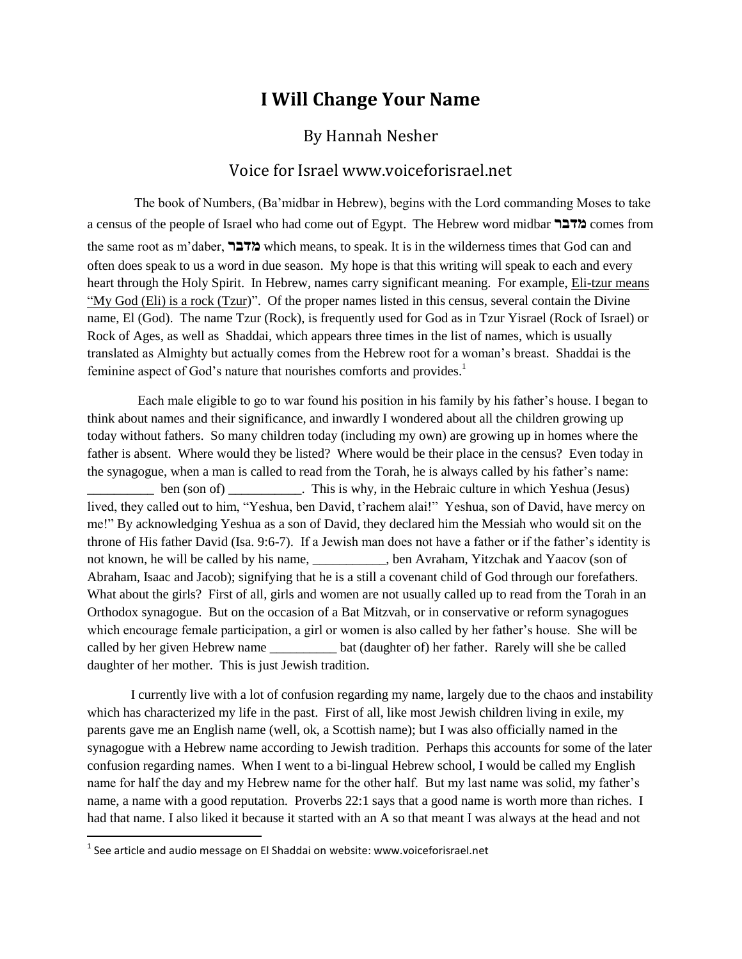# **I Will Change Your Name**

## By Hannah Nesher

### Voice for Israel www.voiceforisrael.net

The book of Numbers, (Ba"midbar in Hebrew), begins with the Lord commanding Moses to take a census of the people of Israel who had come out of Egypt. The Hebrew word midbar **מדבר** comes from the same root as m"daber, **מדבר** which means, to speak. It is in the wilderness times that God can and often does speak to us a word in due season. My hope is that this writing will speak to each and every heart through the Holy Spirit. In Hebrew, names carry significant meaning. For example, Eli-tzur means "My God (Eli) is a rock (Tzur)". Of the proper names listed in this census, several contain the Divine name, El (God). The name Tzur (Rock), is frequently used for God as in Tzur Yisrael (Rock of Israel) or Rock of Ages, as well as Shaddai, which appears three times in the list of names, which is usually translated as Almighty but actually comes from the Hebrew root for a woman"s breast. Shaddai is the feminine aspect of God's nature that nourishes comforts and provides.<sup>1</sup>

 Each male eligible to go to war found his position in his family by his father"s house. I began to think about names and their significance, and inwardly I wondered about all the children growing up today without fathers. So many children today (including my own) are growing up in homes where the father is absent. Where would they be listed? Where would be their place in the census? Even today in the synagogue, when a man is called to read from the Torah, he is always called by his father"s name: **Example 10** ben (son of) \_\_\_\_\_\_\_\_\_\_. This is why, in the Hebraic culture in which Yeshua (Jesus) lived, they called out to him, "Yeshua, ben David, t'rachem alai!" Yeshua, son of David, have mercy on me!" By acknowledging Yeshua as a son of David, they declared him the Messiah who would sit on the throne of His father David (Isa. 9:6-7). If a Jewish man does not have a father or if the father"s identity is not known, he will be called by his name, \_\_\_\_\_\_\_\_\_\_\_, ben Avraham, Yitzchak and Yaacov (son of Abraham, Isaac and Jacob); signifying that he is a still a covenant child of God through our forefathers. What about the girls? First of all, girls and women are not usually called up to read from the Torah in an Orthodox synagogue. But on the occasion of a Bat Mitzvah, or in conservative or reform synagogues which encourage female participation, a girl or women is also called by her father"s house. She will be called by her given Hebrew name bat (daughter of) her father. Rarely will she be called daughter of her mother. This is just Jewish tradition.

I currently live with a lot of confusion regarding my name, largely due to the chaos and instability which has characterized my life in the past. First of all, like most Jewish children living in exile, my parents gave me an English name (well, ok, a Scottish name); but I was also officially named in the synagogue with a Hebrew name according to Jewish tradition. Perhaps this accounts for some of the later confusion regarding names. When I went to a bi-lingual Hebrew school, I would be called my English name for half the day and my Hebrew name for the other half. But my last name was solid, my father"s name, a name with a good reputation. Proverbs 22:1 says that a good name is worth more than riches. I had that name. I also liked it because it started with an A so that meant I was always at the head and not

 1 See article and audio message on El Shaddai on website: www.voiceforisrael.net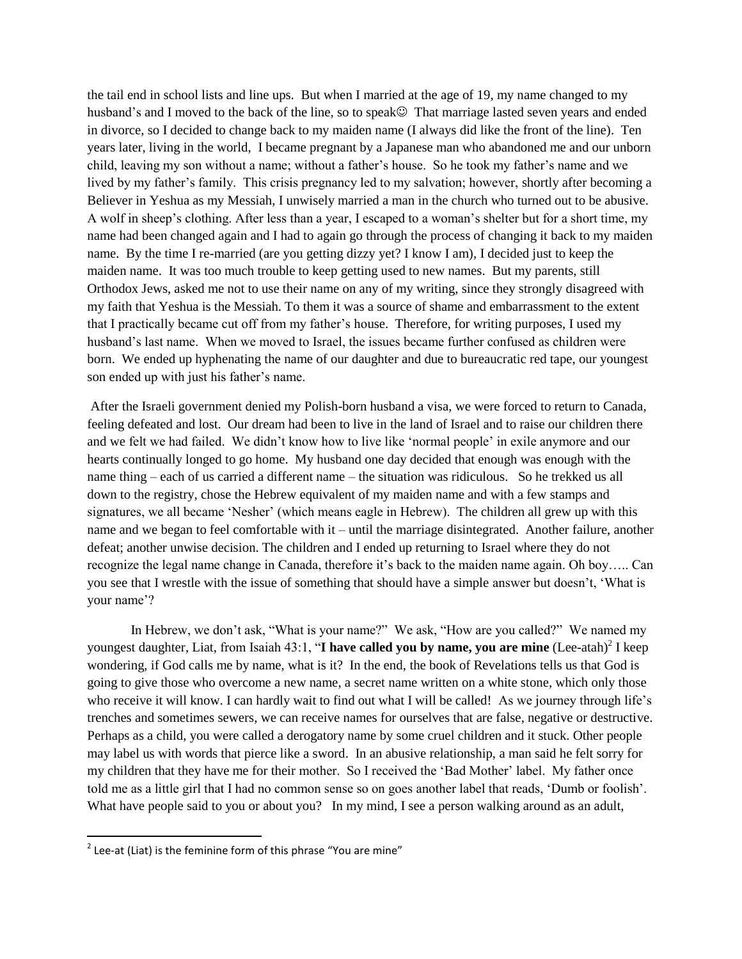the tail end in school lists and line ups. But when I married at the age of 19, my name changed to my husband's and I moved to the back of the line, so to speak That marriage lasted seven years and ended in divorce, so I decided to change back to my maiden name (I always did like the front of the line). Ten years later, living in the world, I became pregnant by a Japanese man who abandoned me and our unborn child, leaving my son without a name; without a father"s house. So he took my father"s name and we lived by my father"s family. This crisis pregnancy led to my salvation; however, shortly after becoming a Believer in Yeshua as my Messiah, I unwisely married a man in the church who turned out to be abusive. A wolf in sheep"s clothing. After less than a year, I escaped to a woman"s shelter but for a short time, my name had been changed again and I had to again go through the process of changing it back to my maiden name. By the time I re-married (are you getting dizzy yet? I know I am), I decided just to keep the maiden name. It was too much trouble to keep getting used to new names. But my parents, still Orthodox Jews, asked me not to use their name on any of my writing, since they strongly disagreed with my faith that Yeshua is the Messiah. To them it was a source of shame and embarrassment to the extent that I practically became cut off from my father"s house. Therefore, for writing purposes, I used my husband"s last name. When we moved to Israel, the issues became further confused as children were born. We ended up hyphenating the name of our daughter and due to bureaucratic red tape, our youngest son ended up with just his father"s name.

After the Israeli government denied my Polish-born husband a visa, we were forced to return to Canada, feeling defeated and lost. Our dream had been to live in the land of Israel and to raise our children there and we felt we had failed. We didn"t know how to live like "normal people" in exile anymore and our hearts continually longed to go home. My husband one day decided that enough was enough with the name thing – each of us carried a different name – the situation was ridiculous. So he trekked us all down to the registry, chose the Hebrew equivalent of my maiden name and with a few stamps and signatures, we all became 'Nesher' (which means eagle in Hebrew). The children all grew up with this name and we began to feel comfortable with it – until the marriage disintegrated. Another failure, another defeat; another unwise decision. The children and I ended up returning to Israel where they do not recognize the legal name change in Canada, therefore it's back to the maiden name again. Oh boy..... Can you see that I wrestle with the issue of something that should have a simple answer but doesn"t, "What is your name'?

In Hebrew, we don't ask, "What is your name?" We ask, "How are you called?" We named my youngest daughter, Liat, from Isaiah 43:1, "**I have called you by name, you are mine** (Lee-atah)<sup>2</sup> I keep wondering, if God calls me by name, what is it? In the end, the book of Revelations tells us that God is going to give those who overcome a new name, a secret name written on a white stone, which only those who receive it will know. I can hardly wait to find out what I will be called! As we journey through life's trenches and sometimes sewers, we can receive names for ourselves that are false, negative or destructive. Perhaps as a child, you were called a derogatory name by some cruel children and it stuck. Other people may label us with words that pierce like a sword. In an abusive relationship, a man said he felt sorry for my children that they have me for their mother. So I received the "Bad Mother" label. My father once told me as a little girl that I had no common sense so on goes another label that reads, "Dumb or foolish". What have people said to you or about you? In my mind, I see a person walking around as an adult,

 2 Lee-at (Liat) is the feminine form of this phrase "You are mine"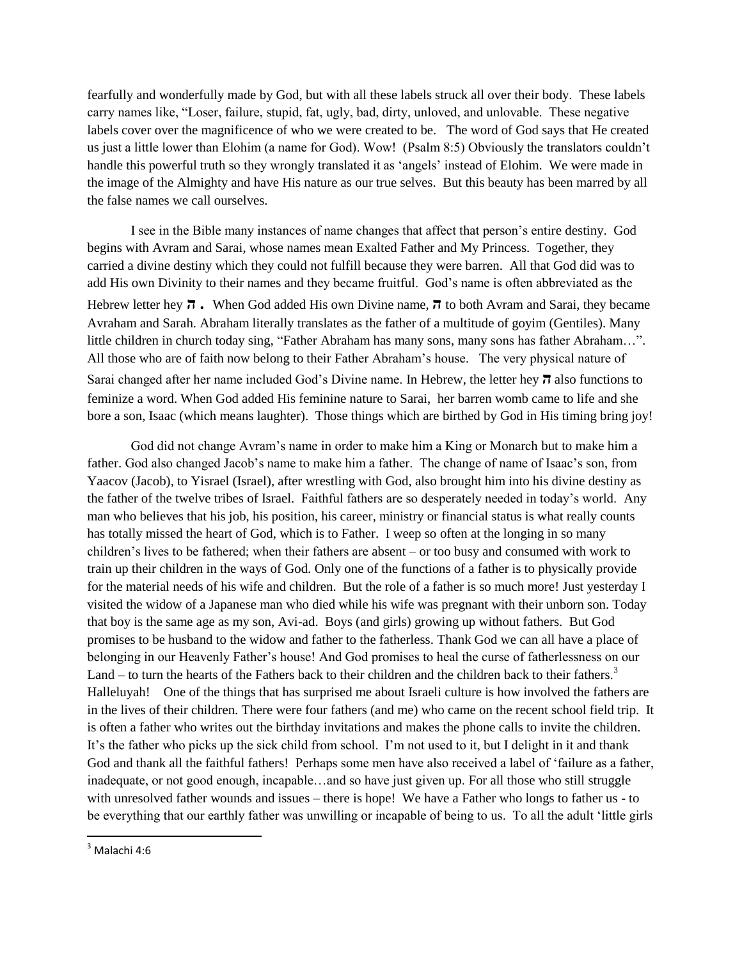fearfully and wonderfully made by God, but with all these labels struck all over their body. These labels carry names like, "Loser, failure, stupid, fat, ugly, bad, dirty, unloved, and unlovable. These negative labels cover over the magnificence of who we were created to be. The word of God says that He created us just a little lower than Elohim (a name for God). Wow! (Psalm 8:5) Obviously the translators couldn"t handle this powerful truth so they wrongly translated it as "angels" instead of Elohim. We were made in the image of the Almighty and have His nature as our true selves. But this beauty has been marred by all the false names we call ourselves.

I see in the Bible many instances of name changes that affect that person"s entire destiny. God begins with Avram and Sarai, whose names mean Exalted Father and My Princess. Together, they carried a divine destiny which they could not fulfill because they were barren. All that God did was to add His own Divinity to their names and they became fruitful. God"s name is often abbreviated as the Hebrew letter hey **ה .** When God added His own Divine name, **ה** to both Avram and Sarai, they became Avraham and Sarah. Abraham literally translates as the father of a multitude of goyim (Gentiles). Many little children in church today sing, "Father Abraham has many sons, many sons has father Abraham…". All those who are of faith now belong to their Father Abraham"s house. The very physical nature of Sarai changed after her name included God"s Divine name. In Hebrew, the letter hey **ה** also functions to feminize a word. When God added His feminine nature to Sarai, her barren womb came to life and she bore a son, Isaac (which means laughter). Those things which are birthed by God in His timing bring joy!

God did not change Avram"s name in order to make him a King or Monarch but to make him a father. God also changed Jacob's name to make him a father. The change of name of Isaac's son, from Yaacov (Jacob), to Yisrael (Israel), after wrestling with God, also brought him into his divine destiny as the father of the twelve tribes of Israel. Faithful fathers are so desperately needed in today"s world. Any man who believes that his job, his position, his career, ministry or financial status is what really counts has totally missed the heart of God, which is to Father. I weep so often at the longing in so many children"s lives to be fathered; when their fathers are absent – or too busy and consumed with work to train up their children in the ways of God. Only one of the functions of a father is to physically provide for the material needs of his wife and children. But the role of a father is so much more! Just yesterday I visited the widow of a Japanese man who died while his wife was pregnant with their unborn son. Today that boy is the same age as my son, Avi-ad. Boys (and girls) growing up without fathers. But God promises to be husband to the widow and father to the fatherless. Thank God we can all have a place of belonging in our Heavenly Father"s house! And God promises to heal the curse of fatherlessness on our Land – to turn the hearts of the Fathers back to their children and the children back to their fathers. $3$ Halleluyah! One of the things that has surprised me about Israeli culture is how involved the fathers are in the lives of their children. There were four fathers (and me) who came on the recent school field trip. It is often a father who writes out the birthday invitations and makes the phone calls to invite the children. It"s the father who picks up the sick child from school. I"m not used to it, but I delight in it and thank God and thank all the faithful fathers! Perhaps some men have also received a label of "failure as a father, inadequate, or not good enough, incapable…and so have just given up. For all those who still struggle with unresolved father wounds and issues – there is hope! We have a Father who longs to father us - to be everything that our earthly father was unwilling or incapable of being to us. To all the adult "little girls

l

 $3$  Malachi 4:6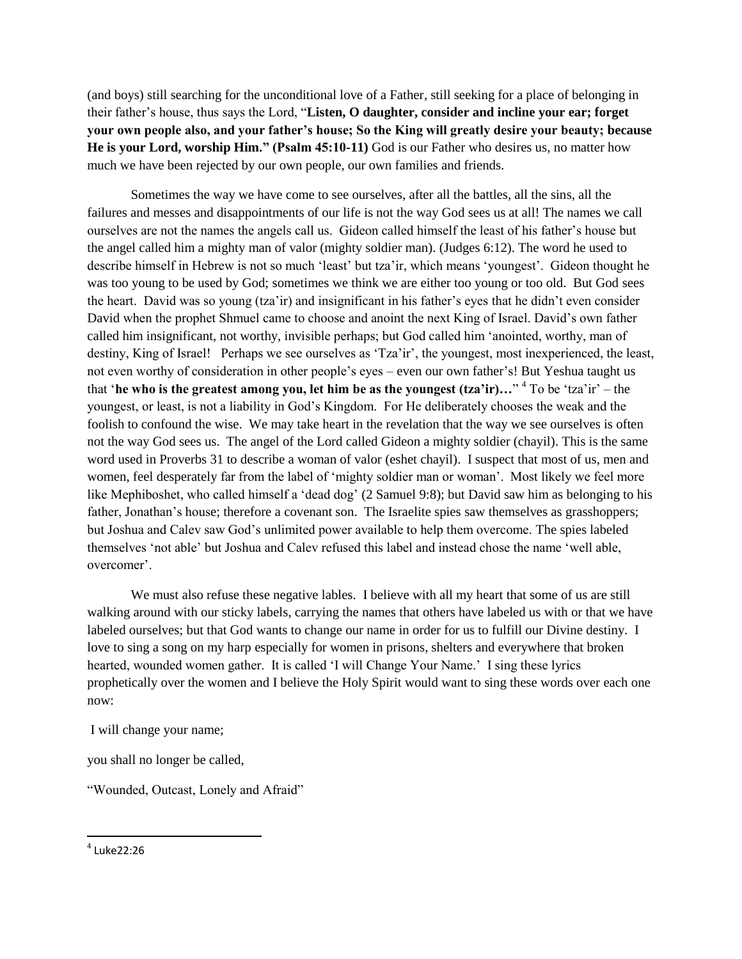(and boys) still searching for the unconditional love of a Father, still seeking for a place of belonging in their father"s house, thus says the Lord, "**Listen, O daughter, consider and incline your ear; forget your own people also, and your father's house; So the King will greatly desire your beauty; because He is your Lord, worship Him." (Psalm 45:10-11)** God is our Father who desires us, no matter how much we have been rejected by our own people, our own families and friends.

Sometimes the way we have come to see ourselves, after all the battles, all the sins, all the failures and messes and disappointments of our life is not the way God sees us at all! The names we call ourselves are not the names the angels call us. Gideon called himself the least of his father"s house but the angel called him a mighty man of valor (mighty soldier man). (Judges 6:12). The word he used to describe himself in Hebrew is not so much "least" but tza"ir, which means "youngest". Gideon thought he was too young to be used by God; sometimes we think we are either too young or too old. But God sees the heart. David was so young (tza"ir) and insignificant in his father"s eyes that he didn"t even consider David when the prophet Shmuel came to choose and anoint the next King of Israel. David"s own father called him insignificant, not worthy, invisible perhaps; but God called him "anointed, worthy, man of destiny, King of Israel! Perhaps we see ourselves as 'Tza'ir', the youngest, most inexperienced, the least, not even worthy of consideration in other people"s eyes – even our own father"s! But Yeshua taught us that '**he who is the greatest among you, let him be as the youngest (tza'ir)...**"<sup>4</sup> To be 'tza'ir' – the youngest, or least, is not a liability in God"s Kingdom. For He deliberately chooses the weak and the foolish to confound the wise. We may take heart in the revelation that the way we see ourselves is often not the way God sees us. The angel of the Lord called Gideon a mighty soldier (chayil). This is the same word used in Proverbs 31 to describe a woman of valor (eshet chayil). I suspect that most of us, men and women, feel desperately far from the label of "mighty soldier man or woman". Most likely we feel more like Mephiboshet, who called himself a "dead dog" (2 Samuel 9:8); but David saw him as belonging to his father, Jonathan's house; therefore a covenant son. The Israelite spies saw themselves as grasshoppers; but Joshua and Calev saw God"s unlimited power available to help them overcome. The spies labeled themselves "not able" but Joshua and Calev refused this label and instead chose the name "well able, overcomer'.

We must also refuse these negative lables. I believe with all my heart that some of us are still walking around with our sticky labels, carrying the names that others have labeled us with or that we have labeled ourselves; but that God wants to change our name in order for us to fulfill our Divine destiny. I love to sing a song on my harp especially for women in prisons, shelters and everywhere that broken hearted, wounded women gather. It is called 'I will Change Your Name.' I sing these lyrics prophetically over the women and I believe the Holy Spirit would want to sing these words over each one now:

I will change your name;

you shall no longer be called,

"Wounded, Outcast, Lonely and Afraid"

4 Luke22:26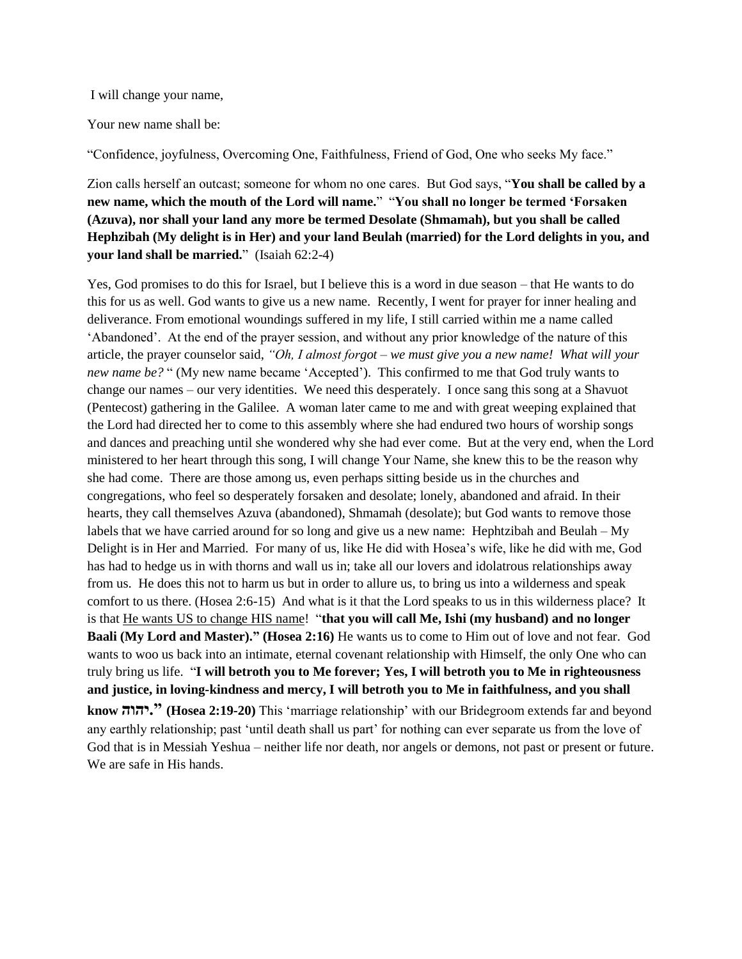I will change your name,

Your new name shall be:

"Confidence, joyfulness, Overcoming One, Faithfulness, Friend of God, One who seeks My face."

Zion calls herself an outcast; someone for whom no one cares. But God says, "**You shall be called by a new name, which the mouth of the Lord will name.**" "**You shall no longer be termed 'Forsaken (Azuva), nor shall your land any more be termed Desolate (Shmamah), but you shall be called Hephzibah (My delight is in Her) and your land Beulah (married) for the Lord delights in you, and your land shall be married.**" (Isaiah 62:2-4)

Yes, God promises to do this for Israel, but I believe this is a word in due season – that He wants to do this for us as well. God wants to give us a new name. Recently, I went for prayer for inner healing and deliverance. From emotional woundings suffered in my life, I still carried within me a name called "Abandoned". At the end of the prayer session, and without any prior knowledge of the nature of this article, the prayer counselor said, *"Oh, I almost forgot – we must give you a new name! What will your new name be?* " (My new name became 'Accepted'). This confirmed to me that God truly wants to change our names – our very identities. We need this desperately. I once sang this song at a Shavuot (Pentecost) gathering in the Galilee. A woman later came to me and with great weeping explained that the Lord had directed her to come to this assembly where she had endured two hours of worship songs and dances and preaching until she wondered why she had ever come. But at the very end, when the Lord ministered to her heart through this song, I will change Your Name, she knew this to be the reason why she had come. There are those among us, even perhaps sitting beside us in the churches and congregations, who feel so desperately forsaken and desolate; lonely, abandoned and afraid. In their hearts, they call themselves Azuva (abandoned), Shmamah (desolate); but God wants to remove those labels that we have carried around for so long and give us a new name: Hephtzibah and Beulah – My Delight is in Her and Married. For many of us, like He did with Hosea"s wife, like he did with me, God has had to hedge us in with thorns and wall us in; take all our lovers and idolatrous relationships away from us. He does this not to harm us but in order to allure us, to bring us into a wilderness and speak comfort to us there. (Hosea 2:6-15) And what is it that the Lord speaks to us in this wilderness place? It is that He wants US to change HIS name! "**that you will call Me, Ishi (my husband) and no longer Baali (My Lord and Master)." (Hosea 2:16)** He wants us to come to Him out of love and not fear. God wants to woo us back into an intimate, eternal covenant relationship with Himself, the only One who can truly bring us life. "**I will betroth you to Me forever; Yes, I will betroth you to Me in righteousness and justice, in loving-kindness and mercy, I will betroth you to Me in faithfulness, and you shall know יהוה.) "Hosea 2:19-20)** This "marriage relationship" with our Bridegroom extends far and beyond any earthly relationship; past 'until death shall us part' for nothing can ever separate us from the love of God that is in Messiah Yeshua – neither life nor death, nor angels or demons, not past or present or future. We are safe in His hands.